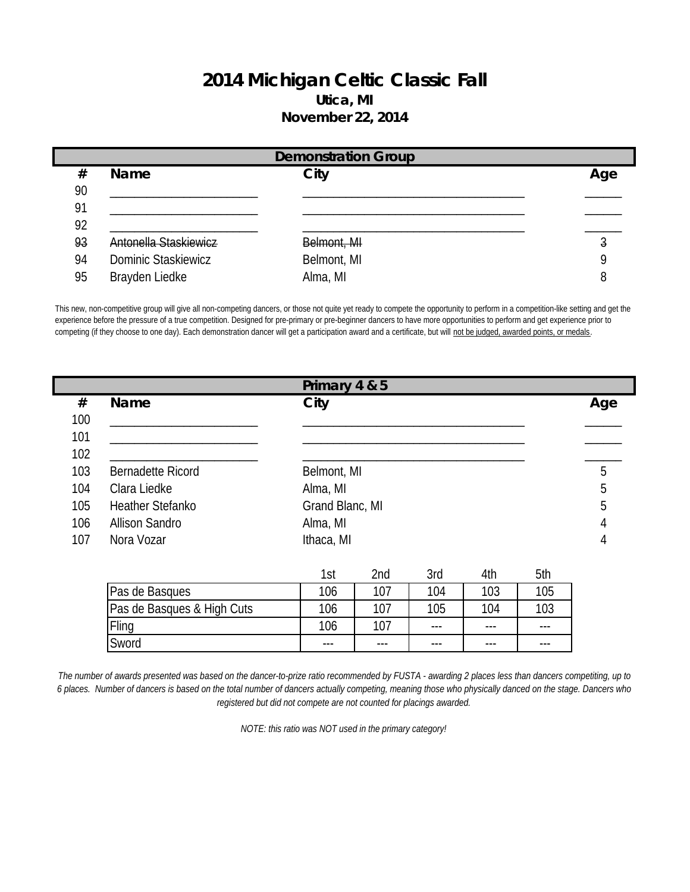## **2014 Michigan Celtic Classic Fall Utica, MI November 22, 2014**

|    | <b>Demonstration Group</b> |             |     |  |  |  |
|----|----------------------------|-------------|-----|--|--|--|
| #  | <b>Name</b>                | City        | Age |  |  |  |
| 90 |                            |             |     |  |  |  |
| 91 |                            |             |     |  |  |  |
| 92 |                            |             |     |  |  |  |
| 93 | Antonella Staskiewicz      | Belmont, MI | ð   |  |  |  |
| 94 | <b>Dominic Staskiewicz</b> | Belmont, MI |     |  |  |  |
| 95 | Brayden Liedke             | Alma, MI    |     |  |  |  |

This new, non-competitive group will give all non-competing dancers, or those not quite yet ready to compete the opportunity to perform in a competition-like setting and get the experience before the pressure of a true competition. Designed for pre-primary or pre-beginner dancers to have more opportunities to perform and get experience prior to competing (if they choose to one day). Each demonstration dancer will get a participation award and a certificate, but will not be judged, awarded points, or medals.

|     |                            | Primary 4 & 5   |      |        |     |     |     |
|-----|----------------------------|-----------------|------|--------|-----|-----|-----|
| #   | <b>Name</b>                | City            |      |        |     |     | Age |
| 100 |                            |                 |      |        |     |     |     |
| 101 |                            |                 |      |        |     |     |     |
| 102 |                            |                 |      |        |     |     |     |
| 103 | Bernadette Ricord          | Belmont, MI     |      |        |     |     | 5   |
| 104 | Clara Liedke               | Alma, MI        |      |        |     |     | 5   |
| 105 | <b>Heather Stefanko</b>    | Grand Blanc, MI |      |        |     |     | 5   |
| 106 | <b>Allison Sandro</b>      | Alma, MI        |      |        |     |     | 4   |
| 107 | Nora Vozar                 | Ithaca, MI      |      |        |     |     | 4   |
|     |                            | 1st             | 2nd  | 3rd    | 4th | 5th |     |
|     | Pas de Basques             | 106             | 107  | 104    | 103 | 105 |     |
|     | Pas de Basques & High Cuts | 106             | 107  | 105    | 104 | 103 |     |
|     | Fling                      | 106             | 107  | $---$  | --- | --- |     |
|     | Sword                      | ---             | $--$ | $-- -$ | --- | --- |     |
|     |                            |                 |      |        |     |     |     |

*The number of awards presented was based on the dancer-to-prize ratio recommended by FUSTA - awarding 2 places less than dancers competiting, up to 6 places. Number of dancers is based on the total number of dancers actually competing, meaning those who physically danced on the stage. Dancers who registered but did not compete are not counted for placings awarded.*

*NOTE: this ratio was NOT used in the primary category!*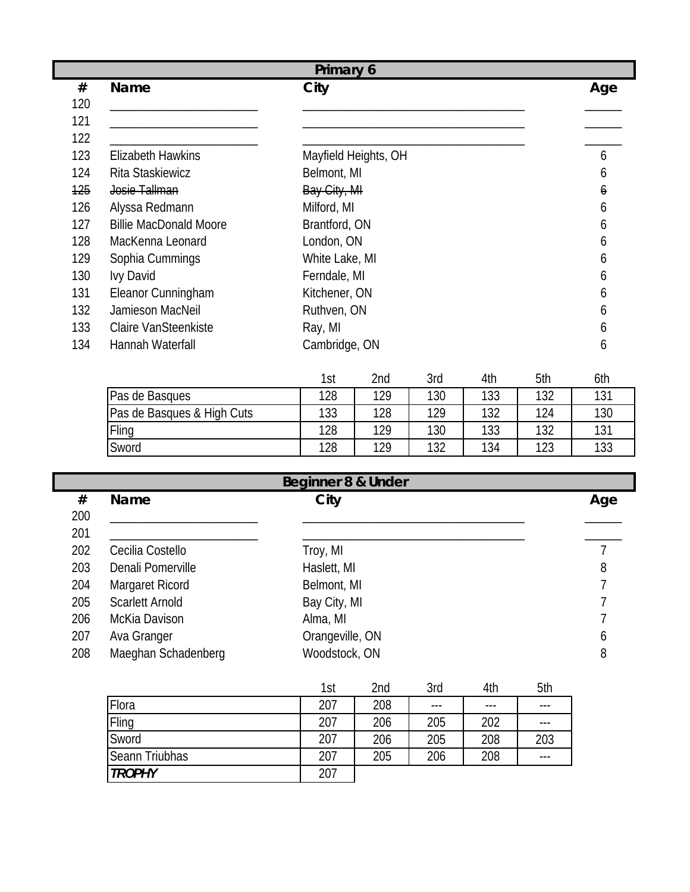|                | Primary 6                     |                      |     |  |  |  |
|----------------|-------------------------------|----------------------|-----|--|--|--|
| #              | <b>Name</b>                   | City                 | Age |  |  |  |
| 120            |                               |                      |     |  |  |  |
| 121            |                               |                      |     |  |  |  |
| 122            |                               |                      |     |  |  |  |
| 123            | Elizabeth Hawkins             | Mayfield Heights, OH | 6   |  |  |  |
| 124            | Rita Staskiewicz              | Belmont, MI          | h   |  |  |  |
| <del>125</del> | Josie Tallman                 | Bay City, MI         | 6   |  |  |  |
| 126            | Alyssa Redmann                | Milford, MI          | h   |  |  |  |
| 127            | <b>Billie MacDonald Moore</b> | Brantford, ON        | h   |  |  |  |
| 128            | MacKenna Leonard              | London, ON           | h   |  |  |  |
| 129            | Sophia Cummings               | White Lake, MI       | h   |  |  |  |
| 130            | Ivy David                     | Ferndale, MI         | h   |  |  |  |
| 131            | Eleanor Cunningham            | Kitchener, ON        | h   |  |  |  |
| 132            | Jamieson MacNeil              | Ruthven, ON          | n   |  |  |  |
| 133            | <b>Claire VanSteenkiste</b>   | Ray, MI              | n   |  |  |  |
| 134            | Hannah Waterfall              | Cambridge, ON        | h   |  |  |  |

|                            | Ist | 2nd | 3rd       | 4th       | 5th | 6th          |
|----------------------------|-----|-----|-----------|-----------|-----|--------------|
| Pas de Basques             | 128 | 129 | 130       | 133       | 132 | 121          |
| Pas de Basques & High Cuts | 133 | 128 | 129       | 127<br>ےں | 124 | 130          |
| Fling                      | 128 | 129 | 130       | 133       | 132 | 191          |
| Sword                      | 128 | 129 | 100<br>32 | 134       | 123 | 100<br>ں ں ا |

|     | <b>Beginner 8 &amp; Under</b> |                 |     |  |  |  |  |
|-----|-------------------------------|-----------------|-----|--|--|--|--|
| #   | <b>Name</b>                   | City            | Age |  |  |  |  |
| 200 |                               |                 |     |  |  |  |  |
| 201 |                               |                 |     |  |  |  |  |
| 202 | Cecilia Costello              | Troy, MI        |     |  |  |  |  |
| 203 | Denali Pomerville             | Haslett, MI     | 8   |  |  |  |  |
| 204 | Margaret Ricord               | Belmont, MI     |     |  |  |  |  |
| 205 | <b>Scarlett Arnold</b>        | Bay City, MI    |     |  |  |  |  |
| 206 | McKia Davison                 | Alma, MI        |     |  |  |  |  |
| 207 | Ava Granger                   | Orangeville, ON | 6   |  |  |  |  |
| 208 | Maeghan Schadenberg           | Woodstock, ON   | 8   |  |  |  |  |

|                | 1st | 2nd | 3rd | 4th  | 5th |
|----------------|-----|-----|-----|------|-----|
| Flora          | 207 | 208 |     | $--$ |     |
| Fling          | 207 | 206 | 205 | 202  |     |
| Sword          | 207 | 206 | 205 | 208  | 203 |
| Seann Triubhas | 207 | 205 | 206 | 208  | --- |
| <b>TROPHY</b>  | 207 |     |     |      |     |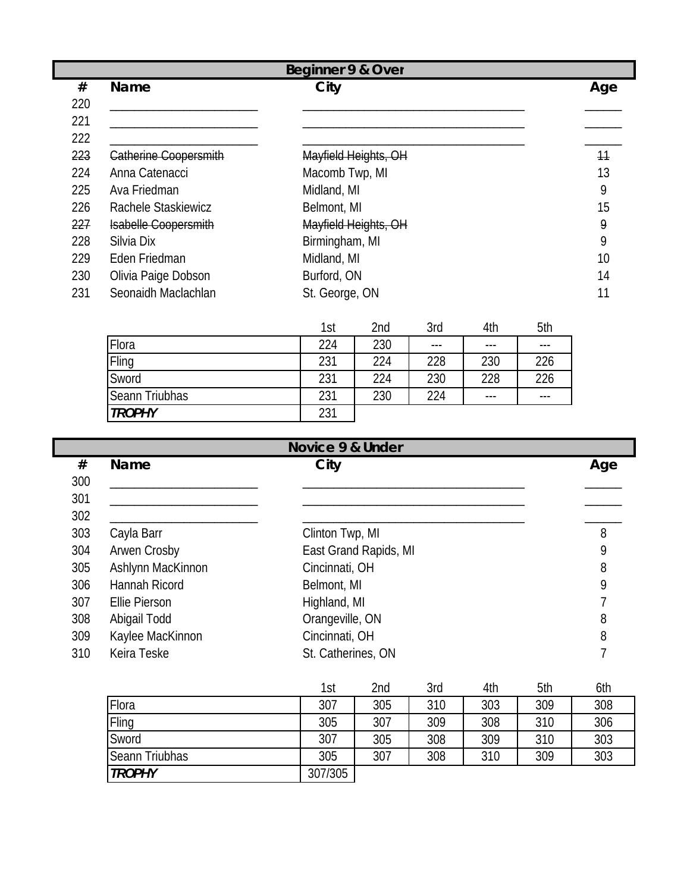|     | <b>Beginner 9 &amp; Over</b> |                      |      |  |  |  |
|-----|------------------------------|----------------------|------|--|--|--|
| #   | <b>Name</b>                  | City                 | Age  |  |  |  |
| 220 |                              |                      |      |  |  |  |
| 221 |                              |                      |      |  |  |  |
| 222 |                              |                      |      |  |  |  |
| 223 | Catherine Coopersmith        | Mayfield Heights, OH | $+1$ |  |  |  |
| 224 | Anna Catenacci               | Macomb Twp, MI       | 13   |  |  |  |
| 225 | Ava Friedman                 | Midland, MI          | 9    |  |  |  |
| 226 | Rachele Staskiewicz          | Belmont, MI          | 15   |  |  |  |
| 227 | <b>Isabelle Coopersmith</b>  | Mayfield Heights, OH | 9    |  |  |  |
| 228 | Silvia Dix                   | Birmingham, MI       | 9    |  |  |  |
| 229 | Eden Friedman                | Midland, MI          | 10   |  |  |  |
| 230 | Olivia Paige Dobson          | Burford, ON          | 14   |  |  |  |
| 231 | Seonaidh Maclachlan          | St. George, ON       | 11   |  |  |  |
|     |                              |                      |      |  |  |  |

|                | 1st | 2nd | 3rd | 4th     | 5th |
|----------------|-----|-----|-----|---------|-----|
| Flora          | 224 | 230 | --- | $- - -$ |     |
| Fling          | 231 | 224 | 228 | 230     | 226 |
| Sword          | 231 | 224 | 230 | 228     | 226 |
| Seann Triubhas | 231 | 230 | 224 | ---     |     |
| <b>TROPHY</b>  | 231 |     |     |         |     |

|     | Novice 9 & Under    |                       |     |  |  |  |  |
|-----|---------------------|-----------------------|-----|--|--|--|--|
| #   | <b>Name</b>         | City                  | Age |  |  |  |  |
| 300 |                     |                       |     |  |  |  |  |
| 301 |                     |                       |     |  |  |  |  |
| 302 |                     |                       |     |  |  |  |  |
| 303 | Cayla Barr          | Clinton Twp, MI       | 8   |  |  |  |  |
| 304 | <b>Arwen Crosby</b> | East Grand Rapids, MI | 9   |  |  |  |  |
| 305 | Ashlynn MacKinnon   | Cincinnati, OH        | 8   |  |  |  |  |
| 306 | Hannah Ricord       | Belmont, MI           | 9   |  |  |  |  |
| 307 | Ellie Pierson       | Highland, MI          |     |  |  |  |  |
| 308 | Abigail Todd        | Orangeville, ON       | 8   |  |  |  |  |
| 309 | Kaylee MacKinnon    | Cincinnati, OH        | 8   |  |  |  |  |
| 310 | Keira Teske         | St. Catherines, ON    |     |  |  |  |  |

|                | 1st     | 2nd | 3rd | 4th | 5th | 6th |
|----------------|---------|-----|-----|-----|-----|-----|
| Flora          | 307     | 305 | 310 | 303 | 309 | 308 |
| Fling          | 305     | 307 | 309 | 308 | 310 | 306 |
| Sword          | 307     | 305 | 308 | 309 | 310 | 303 |
| Seann Triubhas | 305     | 307 | 308 | 310 | 309 | 303 |
| <b>TROPHY</b>  | 307/305 |     |     |     |     |     |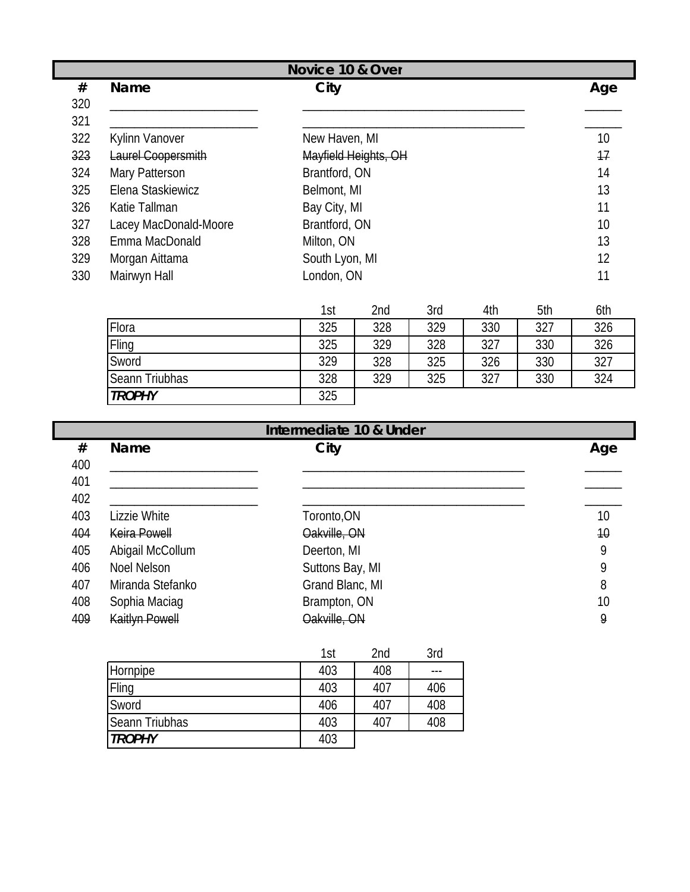|     | Novice 10 & Over      |                                        |                      |     |     |     |     |
|-----|-----------------------|----------------------------------------|----------------------|-----|-----|-----|-----|
| #   | Name                  | City                                   |                      |     |     |     | Age |
| 320 |                       |                                        |                      |     |     |     |     |
| 321 |                       |                                        |                      |     |     |     |     |
| 322 | <b>Kylinn Vanover</b> | New Haven, MI                          |                      |     |     |     | 10  |
| 323 | Laurel Coopersmith    |                                        | Mayfield Heights, OH |     |     |     | 17  |
| 324 | Mary Patterson        | Brantford, ON                          |                      |     |     |     | 14  |
| 325 | Elena Staskiewicz     | Belmont, MI                            |                      |     |     |     | 13  |
| 326 | Katie Tallman         | Bay City, MI                           |                      |     |     |     | 11  |
| 327 | Lacey MacDonald-Moore | Brantford, ON                          |                      |     |     |     | 10  |
| 328 | Emma MacDonald        | Milton, ON                             |                      |     |     |     | 13  |
| 329 | Morgan Aittama        | South Lyon, MI                         |                      |     |     |     | 12  |
| 330 | Mairwyn Hall          | London, ON                             |                      |     |     |     | 11  |
|     |                       | 1st                                    | 2nd                  | 3rd | 4th | 5th | 6th |
|     | Flora                 | 325                                    | 328                  | 329 | 330 | 327 | 326 |
|     | Fling                 | 325                                    | 329                  | 328 | 327 | 330 | 326 |
|     | Sword                 | 329<br>328<br>325<br>326<br>330<br>327 |                      |     |     |     |     |

|     | Intermediate 10 & Under |                 |     |  |  |  |  |
|-----|-------------------------|-----------------|-----|--|--|--|--|
| #   | <b>Name</b>             | City            | Age |  |  |  |  |
| 400 |                         |                 |     |  |  |  |  |
| 401 |                         |                 |     |  |  |  |  |
| 402 |                         |                 |     |  |  |  |  |
| 403 | Lizzie White            | Toronto,ON      | 10  |  |  |  |  |
| 404 | Keira Powell            | Oakville, ON    | 10  |  |  |  |  |
| 405 | Abigail McCollum        | Deerton, MI     | 9   |  |  |  |  |
| 406 | Noel Nelson             | Suttons Bay, MI | 9   |  |  |  |  |
| 407 | Miranda Stefanko        | Grand Blanc, MI | 8   |  |  |  |  |
| 408 | Sophia Maciag           | Brampton, ON    | 10  |  |  |  |  |
| 409 | <b>Kaitlyn Powell</b>   | Oakville, ON    | 9   |  |  |  |  |

Seann Triubhas 328 329 325 327 330 324

|                | 1st | 2nd | 3rd |
|----------------|-----|-----|-----|
| Hornpipe       | 403 | 408 |     |
| Fling          | 403 | 407 | 406 |
| Sword          | 406 | 407 | 408 |
| Seann Triubhas | 403 | 407 | 408 |
| <b>TROPHY</b>  | 403 |     |     |

**TROPHY**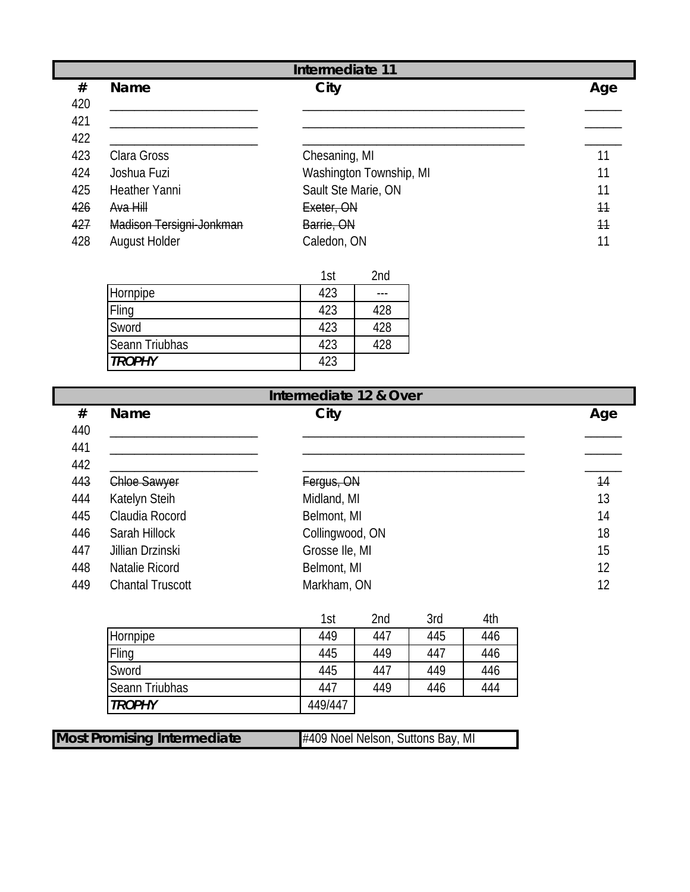| Intermediate 11 |                          |                         |     |
|-----------------|--------------------------|-------------------------|-----|
| #               | <b>Name</b>              | City                    | Age |
| 420             |                          |                         |     |
| 421             |                          |                         |     |
| 422             |                          |                         |     |
| 423             | Clara Gross              | Chesaning, MI           | 11  |
| 424             | Joshua Fuzi              | Washington Township, MI | 11  |
| 425             | <b>Heather Yanni</b>     | Sault Ste Marie, ON     | 11  |
| 426             | Ava Hill                 | Exeter, ON              | 11  |
| 427             | Madison Tersigni-Jonkman | Barrie, ON              | 11  |
| 428             | <b>August Holder</b>     | Caledon, ON             | 11  |

|                | 1st | 2nd |
|----------------|-----|-----|
| Hornpipe       | 423 |     |
| Fling          | 423 | 428 |
| Sword          | 423 | 428 |
| Seann Triubhas | 423 | 428 |
| <b>TROPHY</b>  |     |     |

|     | Intermediate 12 & Over  |                 |     |
|-----|-------------------------|-----------------|-----|
| #   | <b>Name</b>             | City            | Age |
| 440 |                         |                 |     |
| 441 |                         |                 |     |
| 442 |                         |                 |     |
| 443 | Chloe Sawyer            | Fergus, ON      | 14  |
| 444 | Katelyn Steih           | Midland, MI     | 13  |
| 445 | Claudia Rocord          | Belmont, MI     | 14  |
| 446 | Sarah Hillock           | Collingwood, ON | 18  |
| 447 | Jillian Drzinski        | Grosse Ile, MI  | 15  |
| 448 | Natalie Ricord          | Belmont, MI     | 12  |
| 449 | <b>Chantal Truscott</b> | Markham, ON     | 12  |

|                       | 1st     | 2nd | 3rd | 4th |
|-----------------------|---------|-----|-----|-----|
| Hornpipe              | 449     | 447 | 445 | 446 |
| Fling                 | 445     | 449 | 447 | 446 |
| Sword                 | 445     | 447 | 449 | 446 |
| <b>Seann Triubhas</b> | 447     | 449 | 446 | 444 |
| <b>TROPHY</b>         | 449/447 |     |     |     |

| <b>Most Promising Intermediate</b> | #409 Noel Nelson, Suttons Bay, MI |
|------------------------------------|-----------------------------------|
|                                    |                                   |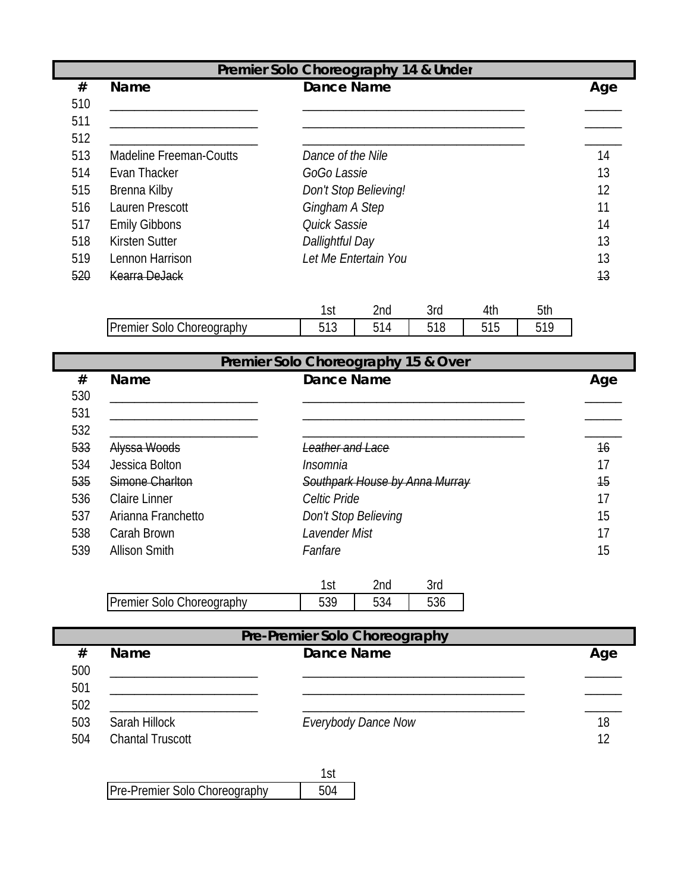| #<br>510   | <b>Name</b>                    | Dance Name                                                     | Age                   |
|------------|--------------------------------|----------------------------------------------------------------|-----------------------|
| 511<br>512 |                                |                                                                |                       |
| 513        | <b>Madeline Freeman-Coutts</b> | Dance of the Nile                                              | 14                    |
| 514        | Evan Thacker                   | GoGo Lassie                                                    | 13                    |
| 515        | Brenna Kilby                   | Don't Stop Believing!                                          | 12                    |
| 516        | <b>Lauren Prescott</b>         | Gingham A Step                                                 | 11                    |
| 517        | <b>Emily Gibbons</b>           | Quick Sassie                                                   | 14                    |
| 518        | <b>Kirsten Sutter</b>          | Dallightful Day                                                | 13                    |
| 519        | Lennon Harrison                | Let Me Entertain You                                           | 13                    |
| 520        | Kearra DeJack                  |                                                                | $+3$                  |
|            |                                | <b>Ond</b><br><b>Jry</b><br>A <sub>th</sub><br>1 <sub>ct</sub> | <b>F<sub>th</sub></b> |

|                                           | ⌒<br>. اد    | 2nd | 2r<br>UIU | .<br>+uı             | Ull |
|-------------------------------------------|--------------|-----|-----------|----------------------|-----|
| Choreo<br>araphy<br><i>remier</i><br>50I0 | F A<br>ັບ ເປ |     | F40<br>ັ  | . -<br>-<br>ט ו<br>ັ | 510 |
|                                           |              |     |           |                      |     |

| #   | <b>Name</b>          | <b>Dance Name</b>              | Age |
|-----|----------------------|--------------------------------|-----|
| 530 |                      |                                |     |
| 531 |                      |                                |     |
| 532 |                      |                                |     |
| 533 | Alyssa Woods         | eather and Lace                | 16  |
| 534 | Jessica Bolton       | Insomnia                       | 17  |
| 535 | Simone Charlton      | Southpark House by Anna Murray | 15  |
| 536 | <b>Claire Linner</b> | Celtic Pride                   | 17  |
| 537 | Arianna Franchetto   | Don't Stop Believing           | 15  |
| 538 | Carah Brown          | Lavender Mist                  | 17  |
| 539 | <b>Allison Smith</b> | Fanfare                        | 15  |

| Premier Solo Choreography | ,,, |  |
|---------------------------|-----|--|
|                           |     |  |

|                         | Pre-Premier Solo Choreography |                            |
|-------------------------|-------------------------------|----------------------------|
| <b>Name</b>             | Dance Name                    | Age                        |
|                         |                               |                            |
|                         |                               |                            |
|                         |                               |                            |
| Sarah Hillock           |                               | 18                         |
| <b>Chantal Truscott</b> |                               | 12                         |
|                         |                               | <b>Everybody Dance Now</b> |

| Pre-Premier Solo Choreography |  |
|-------------------------------|--|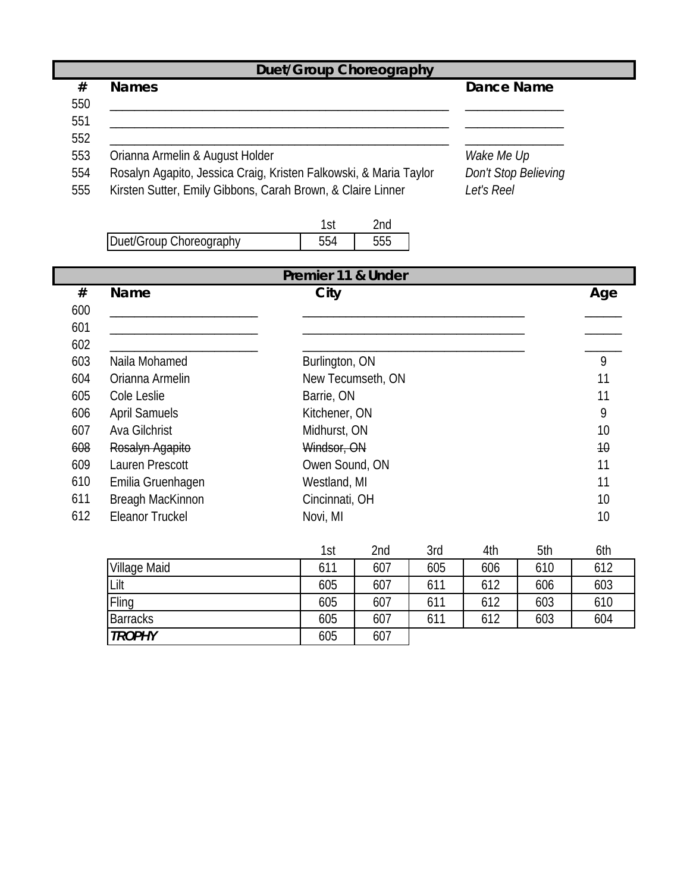## **Duet/Group Choreography**

| #   | <b>Names</b>                                                      | Dance Name           |
|-----|-------------------------------------------------------------------|----------------------|
| 550 |                                                                   |                      |
| 551 |                                                                   |                      |
| 552 |                                                                   |                      |
| 553 | Orianna Armelin & August Holder                                   | Wake Me Up           |
| 554 | Rosalyn Agapito, Jessica Craig, Kristen Falkowski, & Maria Taylor | Don't Stop Believing |
| 555 | Kirsten Sutter, Emily Gibbons, Carah Brown, & Claire Linner       | Let's Reel           |

|                         | 1с. | nd' |
|-------------------------|-----|-----|
| Duet/Group Choreography |     |     |

*TROPHY* 605 607

| Premier 11 & Under |                        |                                 |                   |     |     |     |     |
|--------------------|------------------------|---------------------------------|-------------------|-----|-----|-----|-----|
| #                  | <b>Name</b>            | City                            |                   |     |     |     |     |
| 600                |                        |                                 |                   |     |     |     |     |
| 601                |                        |                                 |                   |     |     |     |     |
| 602                |                        |                                 |                   |     |     |     |     |
| 603                | Naila Mohamed          | Burlington, ON                  |                   |     |     |     | 9   |
| 604                | Orianna Armelin        |                                 | New Tecumseth, ON |     |     |     | 11  |
| 605                | Cole Leslie            | Barrie, ON                      |                   |     |     |     | 11  |
| 606                | <b>April Samuels</b>   | Kitchener, ON                   |                   |     |     |     | 9   |
| 607                | Ava Gilchrist          | Midhurst, ON                    |                   |     |     |     | 10  |
| 608                | Rosalyn Agapito        | Windsor, ON                     |                   |     |     |     | 10  |
| 609                | Lauren Prescott        | Owen Sound, ON                  |                   |     |     |     | 11  |
| 610                | Emilia Gruenhagen      | Westland, MI                    |                   |     |     |     | 11  |
| 611                | Breagh MacKinnon       | Cincinnati, OH                  |                   |     |     |     | 10  |
| 612                | <b>Eleanor Truckel</b> | Novi, MI                        |                   |     |     |     | 10  |
|                    |                        |                                 |                   |     |     |     |     |
|                    |                        | 1st                             | 2nd               | 3rd | 4th | 5th | 6th |
|                    | Village Maid           | 611                             | 607               | 605 | 606 | 610 | 612 |
|                    | Lilt                   | 605<br>607<br>611<br>612<br>606 |                   |     |     |     | 603 |
|                    | Fling                  | 605                             | 610               |     |     |     |     |

Barracks 605 607 611 612 603 604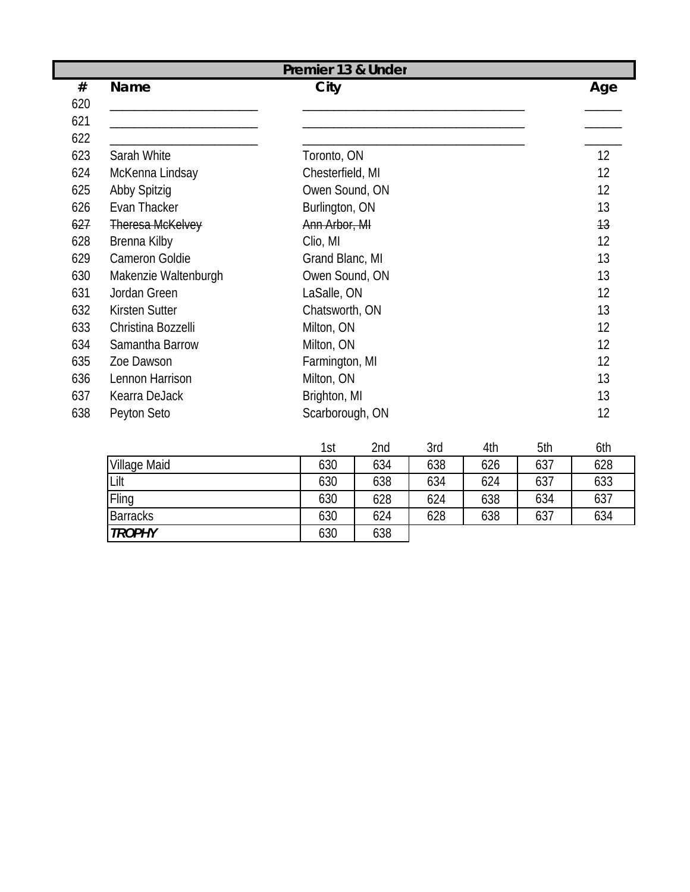|     |                                   | Premier 13 & Under |             |     |     |     |     |
|-----|-----------------------------------|--------------------|-------------|-----|-----|-----|-----|
| #   | <b>Name</b>                       | City               |             |     |     |     | Age |
| 620 |                                   |                    |             |     |     |     |     |
| 621 |                                   |                    |             |     |     |     |     |
| 622 |                                   |                    |             |     |     |     |     |
| 623 | Sarah White                       |                    | Toronto, ON |     |     |     |     |
| 624 | McKenna Lindsay                   | Chesterfield, MI   |             |     |     |     | 12  |
| 625 | Abby Spitzig                      | Owen Sound, ON     |             |     |     |     | 12  |
| 626 | Evan Thacker                      | Burlington, ON     |             |     |     |     | 13  |
| 627 | <b>Theresa McKelvey</b>           | Ann Arbor, MI      |             |     |     |     | 13  |
| 628 | Brenna Kilby                      | Clio, MI           |             |     |     |     | 12  |
| 629 | <b>Cameron Goldie</b>             | Grand Blanc, MI    |             |     |     |     | 13  |
| 630 | Makenzie Waltenburgh              | Owen Sound, ON     |             |     |     |     | 13  |
| 631 | Jordan Green                      | LaSalle, ON        |             |     |     |     | 12  |
| 632 | <b>Kirsten Sutter</b>             | Chatsworth, ON     |             |     |     |     | 13  |
| 633 | Christina Bozzelli                | Milton, ON         |             |     |     |     | 12  |
| 634 | Samantha Barrow                   | Milton, ON         |             |     |     |     | 12  |
| 635 | Zoe Dawson                        | Farmington, MI     |             |     |     |     | 12  |
| 636 | Lennon Harrison                   | Milton, ON         |             |     |     |     | 13  |
| 637 | Kearra DeJack                     | Brighton, MI       |             |     |     |     | 13  |
| 638 | Peyton Seto                       | Scarborough, ON    |             |     |     |     | 12  |
|     |                                   |                    |             |     |     |     |     |
|     |                                   | 1st                | 2nd         | 3rd | 4th | 5th | 6th |
|     | Village Maid                      | 630                | 634         | 638 | 626 | 637 | 628 |
|     | Lilt                              | 630                | 638         | 634 | 624 | 637 | 633 |
|     | Fling<br>630<br>628<br>624<br>638 |                    |             |     |     | 634 | 637 |

Barracks 630 624 628 638 637 634

*TROPHY* 630 638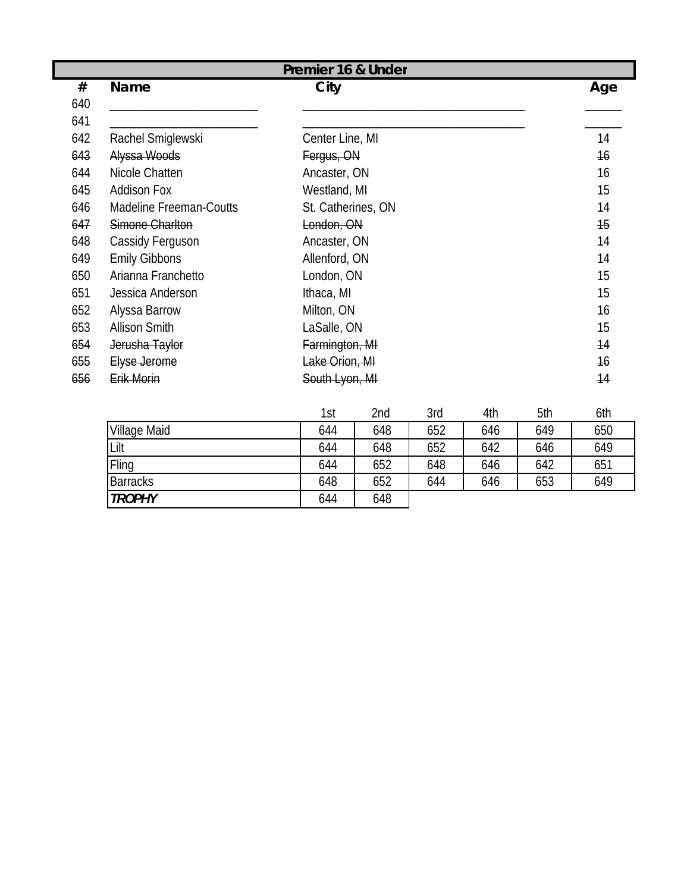|     | Premier 16 & Under             |                    |                |  |  |  |
|-----|--------------------------------|--------------------|----------------|--|--|--|
| #   | Name                           | City               | Age            |  |  |  |
| 640 |                                |                    |                |  |  |  |
| 641 |                                |                    |                |  |  |  |
| 642 | Rachel Smiglewski              | Center Line, MI    | 14             |  |  |  |
| 643 | Alyssa Woods                   | Fergus, ON         | 16             |  |  |  |
| 644 | Nicole Chatten                 | Ancaster, ON       | 16             |  |  |  |
| 645 | <b>Addison Fox</b>             | Westland, MI       | 15             |  |  |  |
| 646 | <b>Madeline Freeman-Coutts</b> | St. Catherines, ON | 14             |  |  |  |
| 647 | Simone Charlton                | London, ON         | 15             |  |  |  |
| 648 | Cassidy Ferguson               | Ancaster, ON       | 14             |  |  |  |
| 649 | <b>Emily Gibbons</b>           | Allenford, ON      | 14             |  |  |  |
| 650 | Arianna Franchetto             | London, ON         | 15             |  |  |  |
| 651 | Jessica Anderson               | Ithaca, MI         | 15             |  |  |  |
| 652 | Alyssa Barrow                  | Milton, ON         | 16             |  |  |  |
| 653 | <b>Allison Smith</b>           | LaSalle, ON        | 15             |  |  |  |
| 654 | Jerusha Taylor                 | Farmington, MI     | 14             |  |  |  |
| 655 | Elyse Jerome                   | Lake Orion, MI     | 16             |  |  |  |
| 656 | Erik Morin                     | South Lyon, MI     | $\frac{14}{5}$ |  |  |  |

|                     | 1st | 2nd | 3rd | 4th | 5th | 6th |
|---------------------|-----|-----|-----|-----|-----|-----|
| <b>Village Maid</b> | 644 | 648 | 652 | 646 | 649 | 650 |
| Lilt                | 644 | 648 | 652 | 642 | 646 | 649 |
| Fling               | 644 | 652 | 648 | 646 | 642 | 651 |
| <b>Barracks</b>     | 648 | 652 | 644 | 646 | 653 | 649 |
| <b>TROPHY</b>       | 644 | 648 |     |     |     |     |